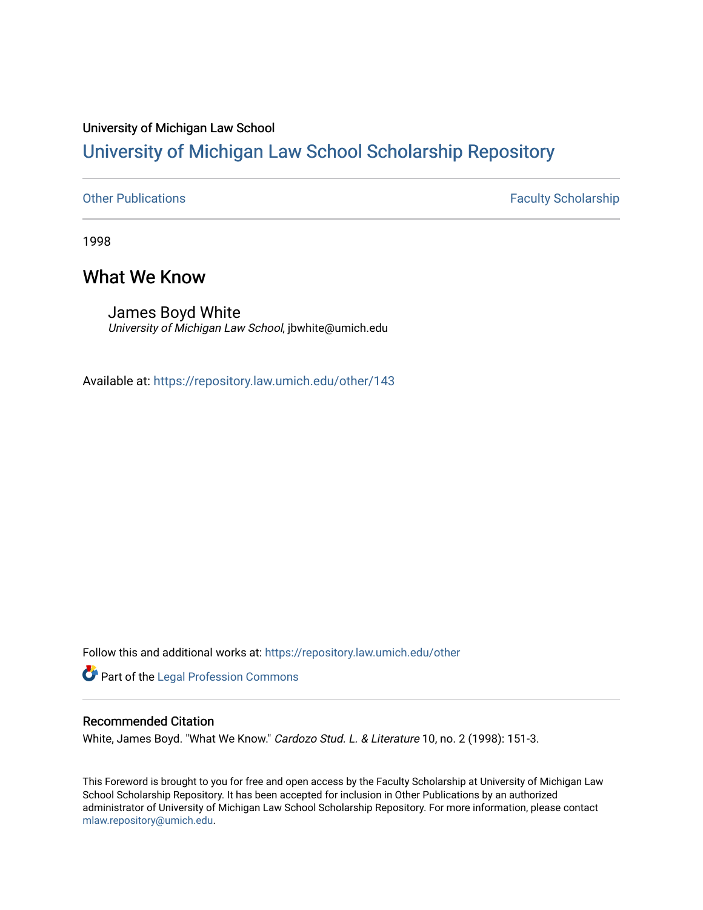### University of Michigan Law School

# [University of Michigan Law School Scholarship Repository](https://repository.law.umich.edu/)

[Other Publications](https://repository.law.umich.edu/other) **Faculty Scholarship** 

1998

# What We Know

James Boyd White University of Michigan Law School, jbwhite@umich.edu

Available at: <https://repository.law.umich.edu/other/143>

Follow this and additional works at: [https://repository.law.umich.edu/other](https://repository.law.umich.edu/other?utm_source=repository.law.umich.edu%2Fother%2F143&utm_medium=PDF&utm_campaign=PDFCoverPages)

**Part of the [Legal Profession Commons](http://network.bepress.com/hgg/discipline/1075?utm_source=repository.law.umich.edu%2Fother%2F143&utm_medium=PDF&utm_campaign=PDFCoverPages)** 

### Recommended Citation

White, James Boyd. "What We Know." Cardozo Stud. L. & Literature 10, no. 2 (1998): 151-3.

This Foreword is brought to you for free and open access by the Faculty Scholarship at University of Michigan Law School Scholarship Repository. It has been accepted for inclusion in Other Publications by an authorized administrator of University of Michigan Law School Scholarship Repository. For more information, please contact [mlaw.repository@umich.edu.](mailto:mlaw.repository@umich.edu)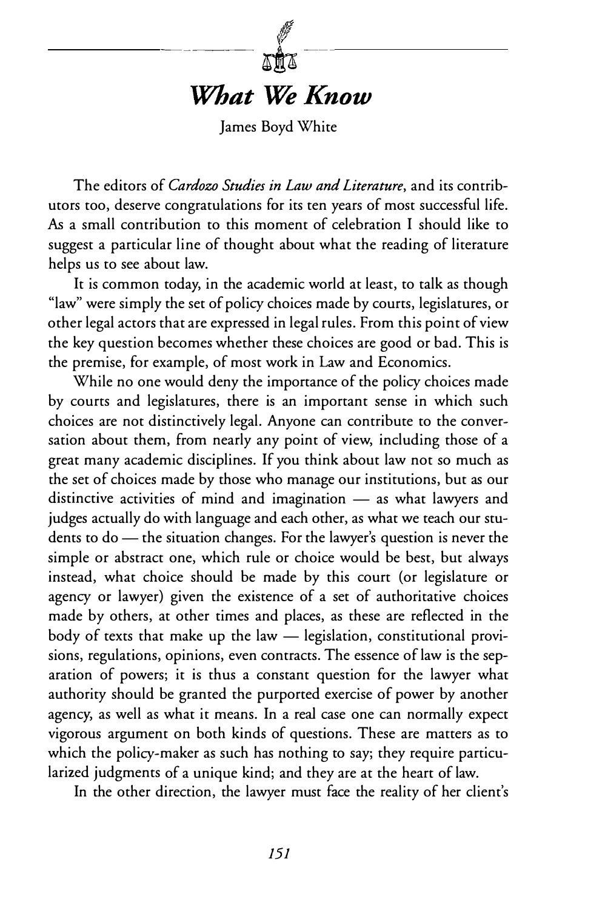

James Boyd White

The editors of *Cardozo Studies in Law and Literature,* and its contributors too, deserve congratulations for its ten years of most successful life. & a small contribution to this moment of celebration I should like to suggest a particular line of thought about what the reading of literature helps us to see about law.

It is common today, in the academic world at least, to talk as though "law" were simply the set of policy choices made by courts, legislatures, or other legal actors that are expressed in legal rules. From this point of view the key question becomes whether these choices are good or bad. This is the premise, for example, of most work in Law and Economics.

While no one would deny the importance of the policy choices made by courts and legislatures, there is an important sense in which such choices are not distinctively legal. Anyone can contribute to the conversation about them, from nearly any point of view, including those of a great many academic disciplines. If you think about law not so much as the set of choices made by those who manage our institutions, but as our distinctive activities of mind and imagination  $-$  as what lawyers and judges actually do with language and each other, as what we teach our students to do — the situation changes. For the lawyer's question is never the simple or abstract one, which rule or choice would be best, but always instead, what choice should be made by this court (or legislature or agency or lawyer) given the existence of a set of authoritative choices made by others, at other times and places, as these are reflected in the body of texts that make up the law  $-$  legislation, constitutional provisions, regulations, opinions, even contracts. The essence of law is the separation of powers; it is thus a constant question for the lawyer what authority should be granted the purported exercise of power by another agency, as well as what it means. In a real case one can normally expect vigorous argument on both kinds of questions. These are matters as to which the policy-maker as such has nothing to say; they require particularized judgments of a unique kind; and they are at the heart of law.

In the other direction, the lawyer must face the reality of her client's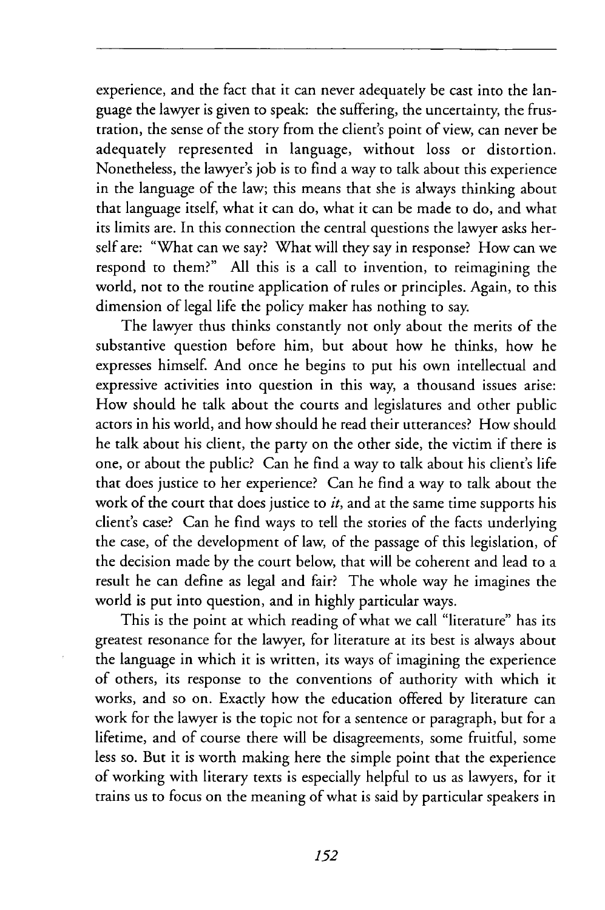experience, and the fact that it can never adequately be cast into the language the lawyer is given to speak: the suffering, the uncertainty, the frustration, the sense of the story from the client's point of view, can never be adequately represented in language, without loss or distortion. Nonetheless, the lawyer's job is to find a way to talk about this experience in the language of the law; this means that she is always thinking about that language itself, what it can do, what it can be made to do, and what its limits are. In this connection the central questions the lawyer asks herself are: "What can we say? What will they say in response? How can we respond to them?" All this is a call to invention, to reimagining the world, not to the routine application of rules or principles. Again, to this dimension of legal life the policy maker has nothing to say.

The lawyer thus thinks constantly not only about the merits of the substantive question before him, but about how he thinks, how he expresses himself. And once he begins to put his own intellectual and expressive activities into question in this way, a thousand issues arise: How should he talk about the courts and legislatures and other public actors in his world, and how should he read their utterances? How should he talk about his client, the party on the other side, the victim if there is one, or about the public? Can he find a way to talk about his client's life that does justice to her experience? Can he find a way to talk about the work of the court that does justice to *it,* and at the same time supports his client's case? Can he find ways to tell the stories of the facts underlying the case, of the development of law, of the passage of this legislation, of the decision made by the court below, that will be coherent and lead to a result he can define as legal and fair? The whole way he imagines the world is put into question, and in highly particular ways.

This is the point at which reading of what we call "literature" has its greatest resonance for the lawyer, for literature at its best is always about the language in which it is written, its ways of imagining the experience of others, its response to the conventions of authority with which it works, and so on. Exactly how the education offered by literature can work for the lawyer is the topic not for a sentence or paragraph, but for a lifetime, and of course there will be disagreements, some fruitful, some less so. But it is worth making here the simple point that the experience of working with literary texts is especially helpful to us as lawyers, for it trains us to focus on the meaning of what is said by particular speakers in